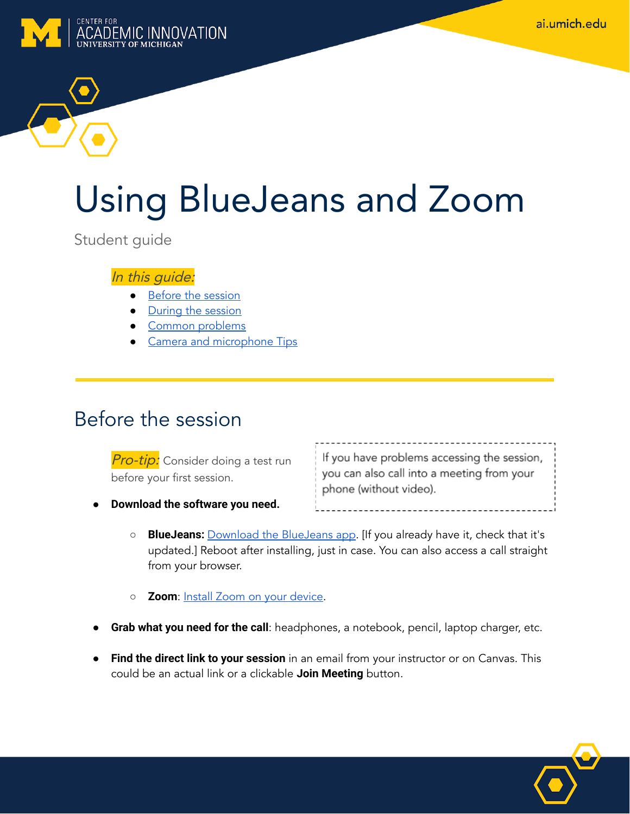ai.umich.edu



# Using BlueJeans and Zoom

Student guide

In this guide:

- Before the [session](#page-0-0)
- [During the](#page-0-1) session
- Common [problems](#page-1-0)
- Camera [and microphone](#page-1-1) Tips

### <span id="page-0-0"></span>Before the session

**Pro-tip:** Consider doing a test run before your first session.

If you have problems accessing the session, you can also call into a meeting from your phone (without video).

- **Download the software you need.**
	- **BlueJeans:** [Download the](http://bluejeans.com/downloads) BlueJeans app . [If you already have it, check that it's updated.] Reboot after installing, just in case. You can also access a call straight from your browser.
	- **Zoom**: Install Zoom on your [device](https://documentation.its.umich.edu/zoom-install).
- **Grab what you need for the call**: headphones, a notebook, pencil, laptop charger, etc.
- <span id="page-0-1"></span>● **Find the direct link to your session** in an email from your instructor or on Canvas. This could be an actual link or a clickable **Join Meeting** button.